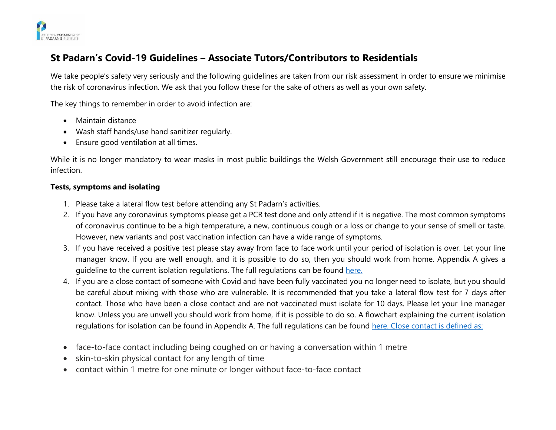

# **St Padarn's Covid-19 Guidelines – Associate Tutors/Contributors to Residentials**

We take people's safety very seriously and the following guidelines are taken from our risk assessment in order to ensure we minimise the risk of coronavirus infection. We ask that you follow these for the sake of others as well as your own safety.

The key things to remember in order to avoid infection are:

- Maintain distance
- Wash staff hands/use hand sanitizer regularly.
- Ensure good ventilation at all times.

While it is no longer mandatory to wear masks in most public buildings the Welsh Government still encourage their use to reduce infection.

### **Tests, symptoms and isolating**

- 1. Please take a lateral flow test before attending any St Padarn's activities.
- 2. If you have any coronavirus symptoms please get a PCR test done and only attend if it is negative. The most common symptoms of coronavirus continue to be a high temperature, a new, continuous cough or a loss or change to your sense of smell or taste. However, new variants and post vaccination infection can have a wide range of symptoms.
- 3. If you have received a positive test please stay away from face to face work until your period of isolation is over. Let your line manager know. If you are well enough, and it is possible to do so, then you should work from home. Appendix A gives a guideline to the current isolation regulations. The full regulations can be found [here.](https://gov.wales/self-isolation)
- 4. If you are a close contact of someone with Covid and have been fully vaccinated you no longer need to isolate, but you should be careful about mixing with those who are vulnerable. It is recommended that you take a lateral flow test for 7 days after contact. Those who have been a close contact and are not vaccinated must isolate for 10 days. Please let your line manager know. Unless you are unwell you should work from home, if it is possible to do so. A flowchart explaining the current isolation regulations for isolation can be found in Appendix A. The full regulations can be found [here.](https://gov.wales/self-isolation) Close contact is defined as:
- face-to-face contact including being coughed on or having a conversation within 1 metre
- skin-to-skin physical contact for any length of time
- contact within 1 metre for one minute or longer without face-to-face contact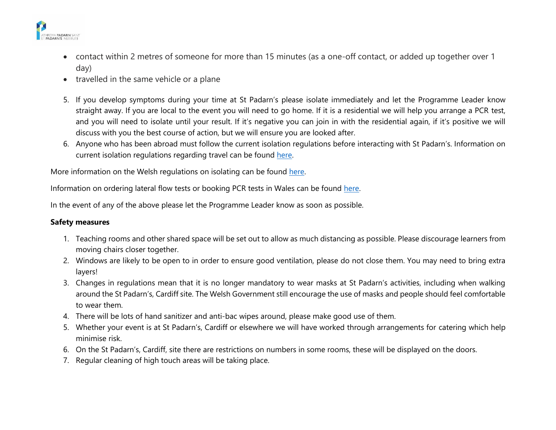

- contact within 2 metres of someone for more than 15 minutes (as a one-off contact, or added up together over 1 day)
- travelled in the same vehicle or a plane
- 5. If you develop symptoms during your time at St Padarn's please isolate immediately and let the Programme Leader know straight away. If you are local to the event you will need to go home. If it is a residential we will help you arrange a PCR test, and you will need to isolate until your result. If it's negative you can join in with the residential again, if it's positive we will discuss with you the best course of action, but we will ensure you are looked after.
- 6. Anyone who has been abroad must follow the current isolation regulations before interacting with St Padarn's. Information on current isolation regulations regarding travel can be found [here.](https://gov.wales/how-isolate-when-you-travel-wales-coronavirus-covid-19)

More information on the Welsh regulations on isolating can be found [here.](https://gov.wales/self-isolation)

Information on ordering lateral flow tests or booking PCR tests in Wales can be found [here.](https://gov.wales/get-tested-coronavirus-covid-19)

In the event of any of the above please let the Programme Leader know as soon as possible.

## **Safety measures**

- 1. Teaching rooms and other shared space will be set out to allow as much distancing as possible. Please discourage learners from moving chairs closer together.
- 2. Windows are likely to be open to in order to ensure good ventilation, please do not close them. You may need to bring extra layers!
- 3. Changes in regulations mean that it is no longer mandatory to wear masks at St Padarn's activities, including when walking around the St Padarn's, Cardiff site. The Welsh Government still encourage the use of masks and people should feel comfortable to wear them.
- 4. There will be lots of hand sanitizer and anti-bac wipes around, please make good use of them.
- 5. Whether your event is at St Padarn's, Cardiff or elsewhere we will have worked through arrangements for catering which help minimise risk.
- 6. On the St Padarn's, Cardiff, site there are restrictions on numbers in some rooms, these will be displayed on the doors.
- 7. Regular cleaning of high touch areas will be taking place.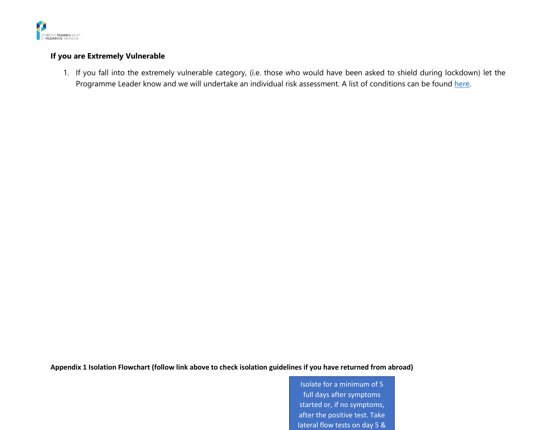

#### **If you are Extremely Vulnerable**

1. If you fall into the extremely vulnerable category, (i.e. those who would have been asked to shield during lockdown) let the Programme Leader know and we will undertake an individual risk assessment. A list of conditions can be found [here.](https://gov.wales/guidance-on-shielding-and-protecting-people-defined-on-medical-grounds-as-extremely-vulnerable-from-coronavirus-covid-19-html#section-38728)

**Appendix 1 Isolation Flowchart (follow link above to check isolation guidelines if you have returned from abroad)**

Isolate for a minimum of 5 full days after symptoms started or, if no symptoms, after the positive test. Take lateral flow tests on day 5 &